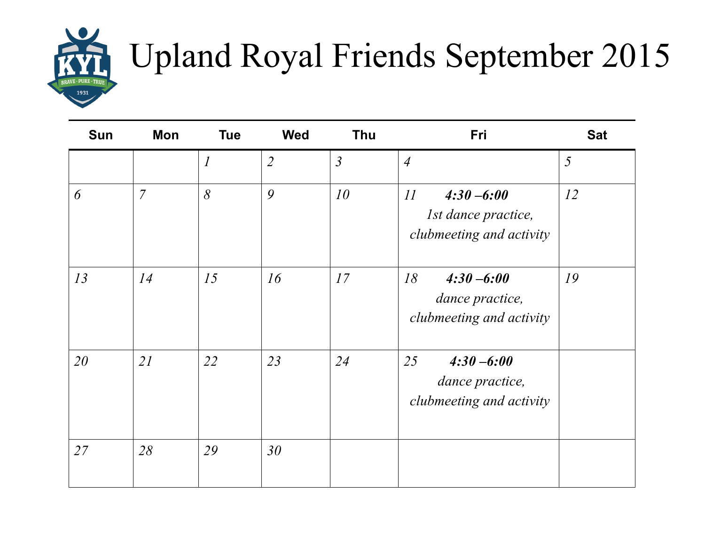

## Upland Royal Friends September 2015

| <b>Sun</b> | Mon            | <b>Tue</b>                                                | <b>Wed</b>     | <b>Thu</b>     | Fri                                                                           | <b>Sat</b> |
|------------|----------------|-----------------------------------------------------------|----------------|----------------|-------------------------------------------------------------------------------|------------|
|            |                | $\mathcal{I}% _{M_{1},M_{2}}^{\alpha,\beta}(\varepsilon)$ | $\overline{2}$ | $\mathfrak{Z}$ | $\overline{4}$                                                                | 5          |
| 6          | $\overline{7}$ | 8                                                         | 9              | 10             | II<br>$4:30 - 6:00$<br><i>Ist dance practice,</i><br>clubmeeting and activity | 12         |
| 13         | 14             | 15                                                        | 16             | 17             | 18<br>$4:30 - 6:00$<br>dance practice,<br>clubmeeting and activity            | 19         |
| 20         | 21             | 22                                                        | 23             | 24             | 25<br>$4:30 - 6:00$<br>dance practice,<br>clubmeeting and activity            |            |
| 27         | 28             | 29                                                        | 30             |                |                                                                               |            |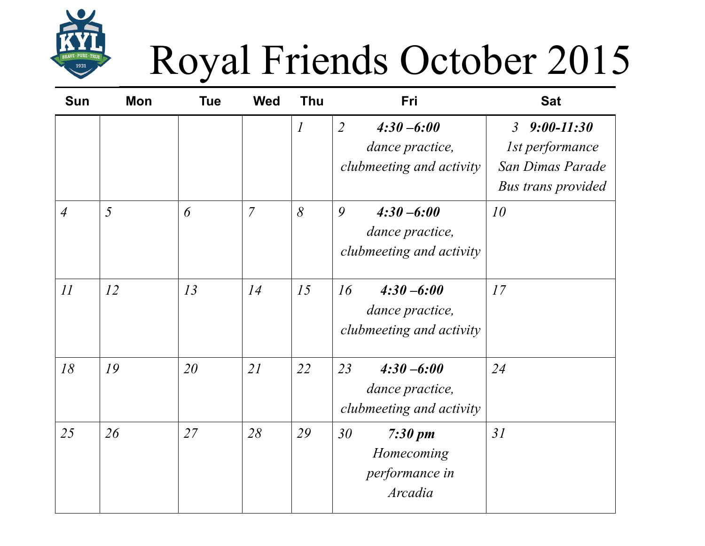

## Royal Friends October 2015

| <b>Sun</b>     | Mon | <b>Tue</b> | <b>Wed</b>     | <b>Thu</b>     | Fri                                                                            | <b>Sat</b>                                                                                                  |
|----------------|-----|------------|----------------|----------------|--------------------------------------------------------------------------------|-------------------------------------------------------------------------------------------------------------|
|                |     |            |                | $\overline{l}$ | $\overline{2}$<br>$4:30 - 6:00$<br>dance practice,<br>clubmeeting and activity | $9:00 - 11:30$<br>$\mathfrak{Z}$<br><i>Ist performance</i><br>San Dimas Parade<br><b>Bus trans provided</b> |
| $\overline{4}$ | 5   | 6          | $\overline{7}$ | 8              | 9<br>$4:30 - 6:00$<br>dance practice,<br>clubmeeting and activity              | 10                                                                                                          |
| 11             | 12  | 13         | 14             | 15             | 16<br>$4:30 - 6:00$<br>dance practice,<br>clubmeeting and activity             | 17                                                                                                          |
| 18             | 19  | 20         | 21             | 22             | 23<br>$4:30 - 6:00$<br>dance practice,<br>clubmeeting and activity             | 24                                                                                                          |
| 25             | 26  | 27         | 28             | 29             | 30<br>$7:30 \text{ pm}$<br>Homecoming<br>performance in<br>Arcadia             | 31                                                                                                          |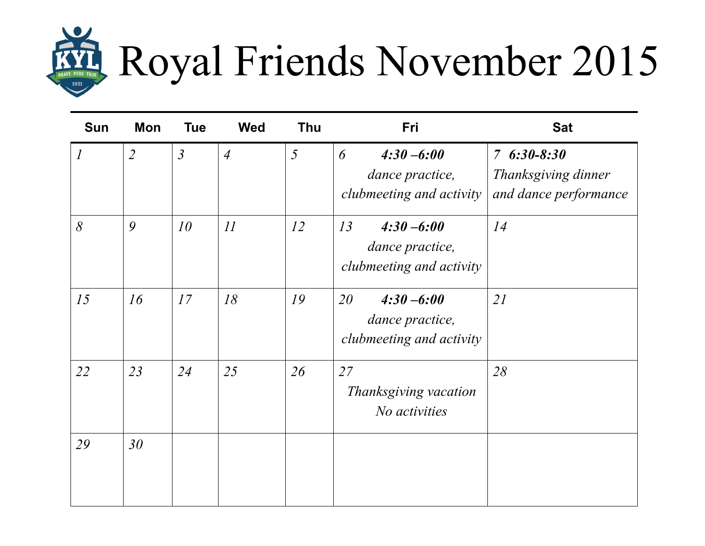

| Sun                         | <b>Mon</b>      | <b>Tue</b>     | <b>Wed</b>     | <b>Thu</b> | Fri                                                                | <b>Sat</b>                                                   |
|-----------------------------|-----------------|----------------|----------------|------------|--------------------------------------------------------------------|--------------------------------------------------------------|
| $\mathcal{I}_{\mathcal{I}}$ | $\overline{2}$  | $\mathfrak{Z}$ | $\overline{4}$ | 5          | $4:30 - 6:00$<br>6<br>dance practice,<br>clubmeeting and activity  | $76:30-8:30$<br>Thanksgiving dinner<br>and dance performance |
| 8                           | 9               | 10             | 11             | 12         | 13<br>$4:30 - 6:00$<br>dance practice,<br>clubmeeting and activity | 14                                                           |
| 15                          | 16              | 17             | 18             | 19         | 20<br>$4:30 - 6:00$<br>dance practice,<br>clubmeeting and activity | 21                                                           |
| 22                          | 23              | 24             | 25             | 26         | 27<br>Thanksgiving vacation<br>No activities                       | 28                                                           |
| 29                          | 30 <sup>°</sup> |                |                |            |                                                                    |                                                              |